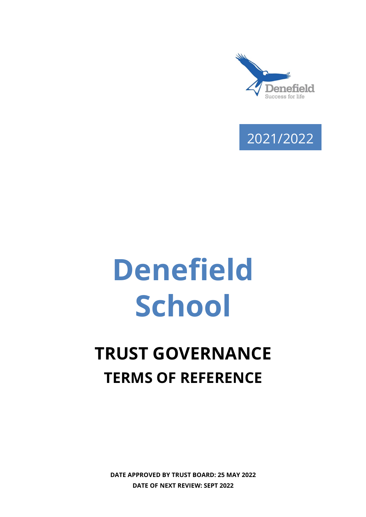



# Denefield **School**

# TRUST GOVERNANCE TERMS OF REFERENCE

DATE APPROVED BY TRUST BOARD: 25 MAY 2022 DATE OF NEXT REVIEW: SEPT 2022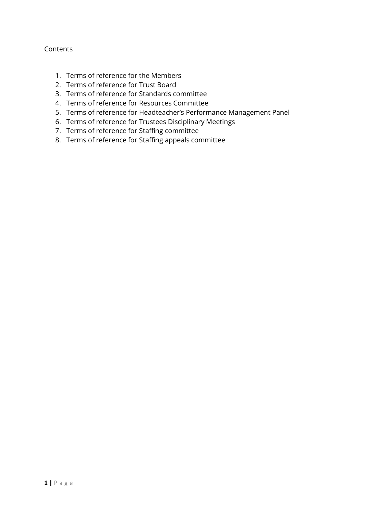## Contents

- 1. Terms of reference for the Members
- 2. Terms of reference for Trust Board
- 3. Terms of reference for Standards committee
- 4. Terms of reference for Resources Committee
- 5. Terms of reference for Headteacher's Performance Management Panel
- 6. Terms of reference for Trustees Disciplinary Meetings
- 7. Terms of reference for Staffing committee
- 8. Terms of reference for Staffing appeals committee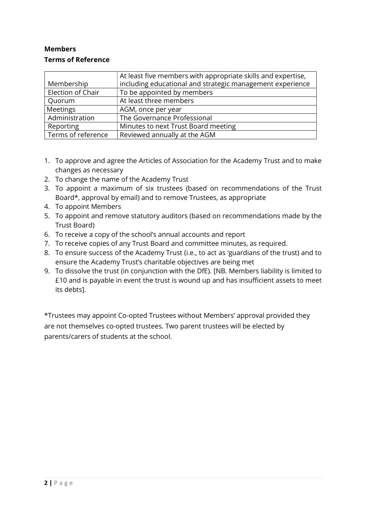# Members Terms of Reference

|                    | At least five members with appropriate skills and expertise, |
|--------------------|--------------------------------------------------------------|
| Membership         | including educational and strategic management experience    |
| Election of Chair  | To be appointed by members                                   |
| Quorum             | At least three members                                       |
| Meetings           | AGM, once per year                                           |
| Administration     | The Governance Professional                                  |
| Reporting          | Minutes to next Trust Board meeting                          |
| Terms of reference | Reviewed annually at the AGM                                 |

- 1. To approve and agree the Articles of Association for the Academy Trust and to make changes as necessary
- 2. To change the name of the Academy Trust
- 3. To appoint a maximum of six trustees (based on recommendations of the Trust Board\*, approval by email) and to remove Trustees, as appropriate
- 4. To appoint Members
- 5. To appoint and remove statutory auditors (based on recommendations made by the Trust Board)
- 6. To receive a copy of the school's annual accounts and report
- 7. To receive copies of any Trust Board and committee minutes, as required.
- 8. To ensure success of the Academy Trust (i.e., to act as 'guardians of the trust) and to ensure the Academy Trust's charitable objectives are being met
- 9. To dissolve the trust (in conjunction with the DfE). [NB. Members liability is limited to £10 and is payable in event the trust is wound up and has insufficient assets to meet its debts].

\*Trustees may appoint Co-opted Trustees without Members' approval provided they are not themselves co-opted trustees. Two parent trustees will be elected by parents/carers of students at the school.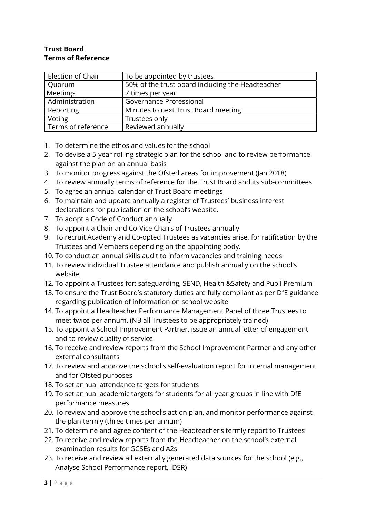#### Trust Board Terms of Reference

| Election of Chair  | To be appointed by trustees                      |
|--------------------|--------------------------------------------------|
| Quorum             | 50% of the trust board including the Headteacher |
| Meetings           | 7 times per year                                 |
| Administration     | Governance Professional                          |
| Reporting          | Minutes to next Trust Board meeting              |
| Voting             | Trustees only                                    |
| Terms of reference | Reviewed annually                                |

- 1. To determine the ethos and values for the school
- 2. To devise a 5-year rolling strategic plan for the school and to review performance against the plan on an annual basis
- 3. To monitor progress against the Ofsted areas for improvement (Jan 2018)
- 4. To review annually terms of reference for the Trust Board and its sub-committees
- 5. To agree an annual calendar of Trust Board meetings
- 6. To maintain and update annually a register of Trustees' business interest declarations for publication on the school's website.
- 7. To adopt a Code of Conduct annually
- 8. To appoint a Chair and Co-Vice Chairs of Trustees annually
- 9. To recruit Academy and Co-opted Trustees as vacancies arise, for ratification by the Trustees and Members depending on the appointing body.
- 10. To conduct an annual skills audit to inform vacancies and training needs
- 11. To review individual Trustee attendance and publish annually on the school's website
- 12. To appoint a Trustees for: safeguarding, SEND, Health &Safety and Pupil Premium
- 13. To ensure the Trust Board's statutory duties are fully compliant as per DfE guidance regarding publication of information on school website
- 14. To appoint a Headteacher Performance Management Panel of three Trustees to meet twice per annum. (NB all Trustees to be appropriately trained)
- 15. To appoint a School Improvement Partner, issue an annual letter of engagement and to review quality of service
- 16. To receive and review reports from the School Improvement Partner and any other external consultants
- 17. To review and approve the school's self-evaluation report for internal management and for Ofsted purposes
- 18. To set annual attendance targets for students
- 19. To set annual academic targets for students for all year groups in line with DfE performance measures
- 20. To review and approve the school's action plan, and monitor performance against the plan termly (three times per annum)
- 21. To determine and agree content of the Headteacher's termly report to Trustees
- 22. To receive and review reports from the Headteacher on the school's external examination results for GCSEs and A2s
- 23. To receive and review all externally generated data sources for the school (e.g., Analyse School Performance report, IDSR)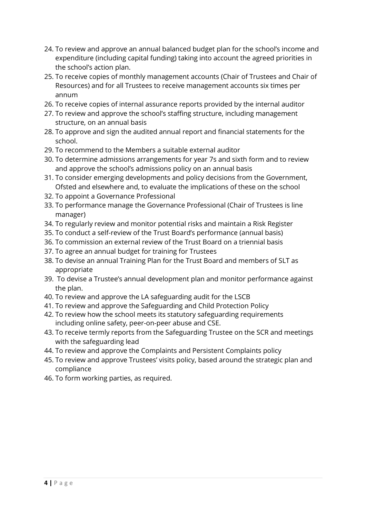- 24. To review and approve an annual balanced budget plan for the school's income and expenditure (including capital funding) taking into account the agreed priorities in the school's action plan.
- 25. To receive copies of monthly management accounts (Chair of Trustees and Chair of Resources) and for all Trustees to receive management accounts six times per annum
- 26. To receive copies of internal assurance reports provided by the internal auditor
- 27. To review and approve the school's staffing structure, including management structure, on an annual basis
- 28. To approve and sign the audited annual report and financial statements for the school.
- 29. To recommend to the Members a suitable external auditor
- 30. To determine admissions arrangements for year 7s and sixth form and to review and approve the school's admissions policy on an annual basis
- 31. To consider emerging developments and policy decisions from the Government, Ofsted and elsewhere and, to evaluate the implications of these on the school
- 32. To appoint a Governance Professional
- 33. To performance manage the Governance Professional (Chair of Trustees is line manager)
- 34. To regularly review and monitor potential risks and maintain a Risk Register
- 35. To conduct a self-review of the Trust Board's performance (annual basis)
- 36. To commission an external review of the Trust Board on a triennial basis
- 37. To agree an annual budget for training for Trustees
- 38. To devise an annual Training Plan for the Trust Board and members of SLT as appropriate
- 39. To devise a Trustee's annual development plan and monitor performance against the plan.
- 40. To review and approve the LA safeguarding audit for the LSCB
- 41. To review and approve the Safeguarding and Child Protection Policy
- 42. To review how the school meets its statutory safeguarding requirements including online safety, peer-on-peer abuse and CSE.
- 43. To receive termly reports from the Safeguarding Trustee on the SCR and meetings with the safeguarding lead
- 44. To review and approve the Complaints and Persistent Complaints policy
- 45. To review and approve Trustees' visits policy, based around the strategic plan and compliance
- 46. To form working parties, as required.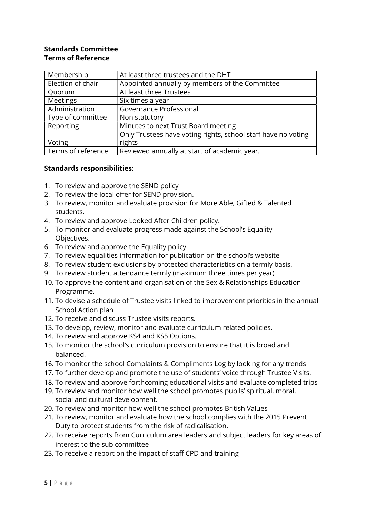#### Standards Committee Terms of Reference

| Membership         | At least three trustees and the DHT                           |
|--------------------|---------------------------------------------------------------|
| Election of chair  | Appointed annually by members of the Committee                |
| Quorum             | At least three Trustees                                       |
| Meetings           | Six times a year                                              |
| Administration     | Governance Professional                                       |
| Type of committee  | Non statutory                                                 |
| Reporting          | Minutes to next Trust Board meeting                           |
|                    | Only Trustees have voting rights, school staff have no voting |
| Voting             | rights                                                        |
| Terms of reference | Reviewed annually at start of academic year.                  |

#### Standards responsibilities:

- 1. To review and approve the SEND policy
- 2. To review the local offer for SEND provision.
- 3. To review, monitor and evaluate provision for More Able, Gifted & Talented students.
- 4. To review and approve Looked After Children policy.
- 5. To monitor and evaluate progress made against the School's Equality Objectives.
- 6. To review and approve the Equality policy
- 7. To review equalities information for publication on the school's website
- 8. To review student exclusions by protected characteristics on a termly basis.
- 9. To review student attendance termly (maximum three times per year)
- 10. To approve the content and organisation of the Sex & Relationships Education Programme.
- 11. To devise a schedule of Trustee visits linked to improvement priorities in the annual School Action plan
- 12. To receive and discuss Trustee visits reports.
- 13. To develop, review, monitor and evaluate curriculum related policies.
- 14. To review and approve KS4 and KS5 Options.
- 15. To monitor the school's curriculum provision to ensure that it is broad and balanced.
- 16. To monitor the school Complaints & Compliments Log by looking for any trends
- 17. To further develop and promote the use of students' voice through Trustee Visits.
- 18. To review and approve forthcoming educational visits and evaluate completed trips
- 19. To review and monitor how well the school promotes pupils' spiritual, moral, social and cultural development.
- 20. To review and monitor how well the school promotes British Values
- 21. To review, monitor and evaluate how the school complies with the 2015 Prevent Duty to protect students from the risk of radicalisation.
- 22. To receive reports from Curriculum area leaders and subject leaders for key areas of interest to the sub committee
- 23. To receive a report on the impact of staff CPD and training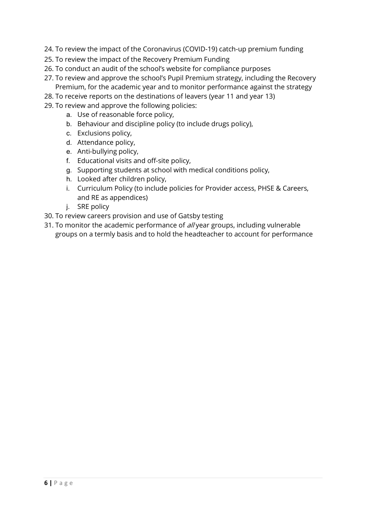- 24. To review the impact of the Coronavirus (COVID-19) catch-up premium funding
- 25. To review the impact of the Recovery Premium Funding
- 26. To conduct an audit of the school's website for compliance purposes
- 27. To review and approve the school's Pupil Premium strategy, including the Recovery Premium, for the academic year and to monitor performance against the strategy
- 28. To receive reports on the destinations of leavers (year 11 and year 13)
- 29. To review and approve the following policies:
	- a. Use of reasonable force policy,
	- b. Behaviour and discipline policy (to include drugs policy),
	- c. Exclusions policy,
	- d. Attendance policy,
	- e. Anti-bullying policy,
	- f. Educational visits and off-site policy,
	- g. Supporting students at school with medical conditions policy,
	- h. Looked after children policy,
	- i. Curriculum Policy (to include policies for Provider access, PHSE & Careers, and RE as appendices)
	- j. SRE policy
- 30. To review careers provision and use of Gatsby testing
- 31. To monitor the academic performance of *all* year groups, including vulnerable groups on a termly basis and to hold the headteacher to account for performance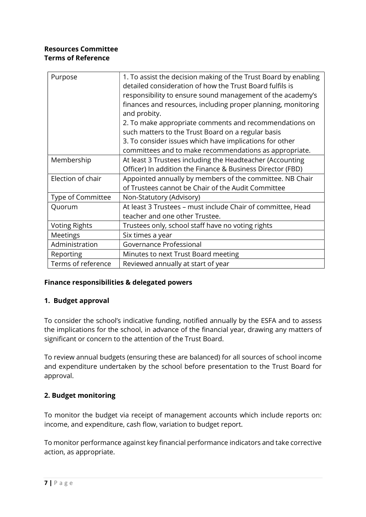## Resources Committee Terms of Reference

| Purpose              | 1. To assist the decision making of the Trust Board by enabling<br>detailed consideration of how the Trust Board fulfils is<br>responsibility to ensure sound management of the academy's<br>finances and resources, including proper planning, monitoring<br>and probity.<br>2. To make appropriate comments and recommendations on<br>such matters to the Trust Board on a regular basis |
|----------------------|--------------------------------------------------------------------------------------------------------------------------------------------------------------------------------------------------------------------------------------------------------------------------------------------------------------------------------------------------------------------------------------------|
|                      | 3. To consider issues which have implications for other<br>committees and to make recommendations as appropriate.                                                                                                                                                                                                                                                                          |
| Membership           | At least 3 Trustees including the Headteacher (Accounting<br>Officer) In addition the Finance & Business Director (FBD)                                                                                                                                                                                                                                                                    |
| Election of chair    | Appointed annually by members of the committee. NB Chair<br>of Trustees cannot be Chair of the Audit Committee                                                                                                                                                                                                                                                                             |
| Type of Committee    | Non-Statutory (Advisory)                                                                                                                                                                                                                                                                                                                                                                   |
| Quorum               | At least 3 Trustees – must include Chair of committee, Head<br>teacher and one other Trustee.                                                                                                                                                                                                                                                                                              |
| <b>Voting Rights</b> | Trustees only, school staff have no voting rights                                                                                                                                                                                                                                                                                                                                          |
| <b>Meetings</b>      | Six times a year                                                                                                                                                                                                                                                                                                                                                                           |
| Administration       | Governance Professional                                                                                                                                                                                                                                                                                                                                                                    |
| Reporting            | Minutes to next Trust Board meeting                                                                                                                                                                                                                                                                                                                                                        |
| Terms of reference   | Reviewed annually at start of year                                                                                                                                                                                                                                                                                                                                                         |

#### Finance responsibilities & delegated powers

#### 1. Budget approval

To consider the school's indicative funding, notified annually by the ESFA and to assess the implications for the school, in advance of the financial year, drawing any matters of significant or concern to the attention of the Trust Board.

To review annual budgets (ensuring these are balanced) for all sources of school income and expenditure undertaken by the school before presentation to the Trust Board for approval.

#### 2. Budget monitoring

To monitor the budget via receipt of management accounts which include reports on: income, and expenditure, cash flow, variation to budget report.

To monitor performance against key financial performance indicators and take corrective action, as appropriate.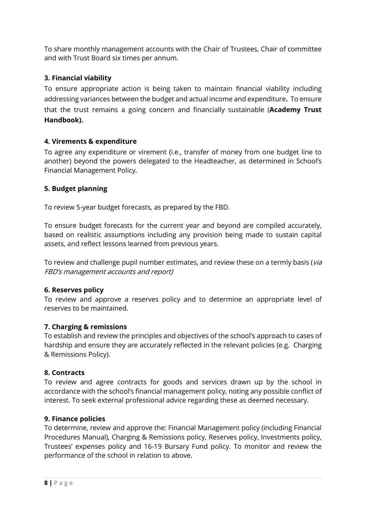To share monthly management accounts with the Chair of Trustees, Chair of committee and with Trust Board six times per annum.

# 3. Financial viability

To ensure appropriate action is being taken to maintain financial viability including addressing variances between the budget and actual income and expenditure. To ensure that the trust remains a going concern and financially sustainable (Academy Trust Handbook).

#### 4. Virements & expenditure

To agree any expenditure or virement (i.e., transfer of money from one budget line to another) beyond the powers delegated to the Headteacher, as determined in School's Financial Management Policy.

#### 5. Budget planning

To review 5-year budget forecasts, as prepared by the FBD.

To ensure budget forecasts for the current year and beyond are compiled accurately, based on realistic assumptions including any provision being made to sustain capital assets, and reflect lessons learned from previous years.

To review and challenge pupil number estimates, and review these on a termly basis (via FBD's management accounts and report)

#### 6. Reserves policy

To review and approve a reserves policy and to determine an appropriate level of reserves to be maintained.

#### 7. Charging & remissions

To establish and review the principles and objectives of the school's approach to cases of hardship and ensure they are accurately reflected in the relevant policies (e.g. Charging & Remissions Policy).

#### 8. Contracts

To review and agree contracts for goods and services drawn up by the school in accordance with the school's financial management policy, noting any possible conflict of interest. To seek external professional advice regarding these as deemed necessary.

#### 9. Finance policies

To determine, review and approve the: Financial Management policy (including Financial Procedures Manual), Charging & Remissions policy, Reserves policy, Investments policy, Trustees' expenses policy and 16-19 Bursary Fund policy. To monitor and review the performance of the school in relation to above.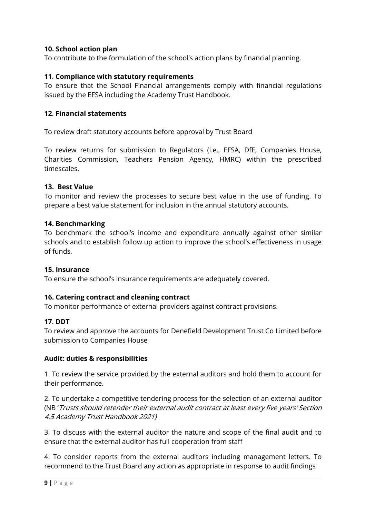#### 10. School action plan

To contribute to the formulation of the school's action plans by financial planning.

#### 11. Compliance with statutory requirements

To ensure that the School Financial arrangements comply with financial regulations issued by the EFSA including the Academy Trust Handbook.

#### 12. Financial statements

To review draft statutory accounts before approval by Trust Board

To review returns for submission to Regulators (i.e., EFSA, DfE, Companies House, Charities Commission, Teachers Pension Agency, HMRC) within the prescribed timescales.

#### 13. Best Value

To monitor and review the processes to secure best value in the use of funding. To prepare a best value statement for inclusion in the annual statutory accounts.

#### 14. Benchmarking

To benchmark the school's income and expenditure annually against other similar schools and to establish follow up action to improve the school's effectiveness in usage of funds.

#### 15. Insurance

To ensure the school's insurance requirements are adequately covered.

#### 16. Catering contract and cleaning contract

To monitor performance of external providers against contract provisions.

#### 17. DDT

To review and approve the accounts for Denefield Development Trust Co Limited before submission to Companies House

#### Audit: duties & responsibilities

1. To review the service provided by the external auditors and hold them to account for their performance.

2. To undertake a competitive tendering process for the selection of an external auditor (NB 'Trusts should retender their external audit contract at least every five years' Section 4.5 Academy Trust Handbook 2021)

3. To discuss with the external auditor the nature and scope of the final audit and to ensure that the external auditor has full cooperation from staff

4. To consider reports from the external auditors including management letters. To recommend to the Trust Board any action as appropriate in response to audit findings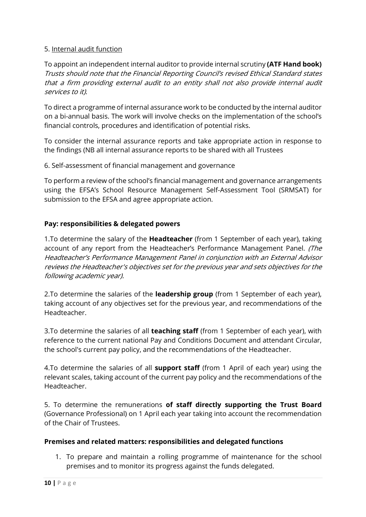#### 5. Internal audit function

To appoint an independent internal auditor to provide internal scrutiny (ATF Hand book) Trusts should note that the Financial Reporting Council's revised Ethical Standard states that a firm providing external audit to an entity shall not also provide internal audit services to it).

To direct a programme of internal assurance work to be conducted by the internal auditor on a bi-annual basis. The work will involve checks on the implementation of the school's financial controls, procedures and identification of potential risks.

To consider the internal assurance reports and take appropriate action in response to the findings (NB all internal assurance reports to be shared with all Trustees

6. Self-assessment of financial management and governance

To perform a review of the school's financial management and governance arrangements using the EFSA's School Resource Management Self-Assessment Tool (SRMSAT) for submission to the EFSA and agree appropriate action.

#### Pay: responsibilities & delegated powers

1.To determine the salary of the **Headteacher** (from 1 September of each year), taking account of any report from the Headteacher's Performance Management Panel. (The Headteacher's Performance Management Panel in conjunction with an External Advisor reviews the Headteacher's objectives set for the previous year and sets objectives for the following academic year).

2. To determine the salaries of the leadership group (from 1 September of each year), taking account of any objectives set for the previous year, and recommendations of the Headteacher.

3.To determine the salaries of all **teaching staff** (from 1 September of each year), with reference to the current national Pay and Conditions Document and attendant Circular, the school's current pay policy, and the recommendations of the Headteacher.

4.To determine the salaries of all **support staff** (from 1 April of each year) using the relevant scales, taking account of the current pay policy and the recommendations of the Headteacher.

5. To determine the remunerations of staff directly supporting the Trust Board (Governance Professional) on 1 April each year taking into account the recommendation of the Chair of Trustees.

#### Premises and related matters: responsibilities and delegated functions

1. To prepare and maintain a rolling programme of maintenance for the school premises and to monitor its progress against the funds delegated.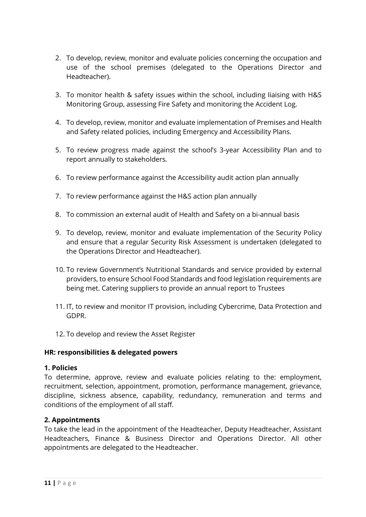- 2. To develop, review, monitor and evaluate policies concerning the occupation and use of the school premises (delegated to the Operations Director and Headteacher).
- 3. To monitor health & safety issues within the school, including liaising with H&S Monitoring Group, assessing Fire Safety and monitoring the Accident Log.
- 4. To develop, review, monitor and evaluate implementation of Premises and Health and Safety related policies, including Emergency and Accessibility Plans.
- 5. To review progress made against the school's 3-year Accessibility Plan and to report annually to stakeholders.
- 6. To review performance against the Accessibility audit action plan annually
- 7. To review performance against the H&S action plan annually
- 8. To commission an external audit of Health and Safety on a bi-annual basis
- 9. To develop, review, monitor and evaluate implementation of the Security Policy and ensure that a regular Security Risk Assessment is undertaken (delegated to the Operations Director and Headteacher).
- 10. To review Government's Nutritional Standards and service provided by external providers, to ensure School Food Standards and food legislation requirements are being met. Catering suppliers to provide an annual report to Trustees
- 11. IT, to review and monitor IT provision, including Cybercrime, Data Protection and GDPR.
- 12. To develop and review the Asset Register

#### HR: responsibilities & delegated powers

#### 1. Policies

To determine, approve, review and evaluate policies relating to the: employment, recruitment, selection, appointment, promotion, performance management, grievance, discipline, sickness absence, capability, redundancy, remuneration and terms and conditions of the employment of all staff.

#### 2. Appointments

To take the lead in the appointment of the Headteacher, Deputy Headteacher, Assistant Headteachers, Finance & Business Director and Operations Director. All other appointments are delegated to the Headteacher.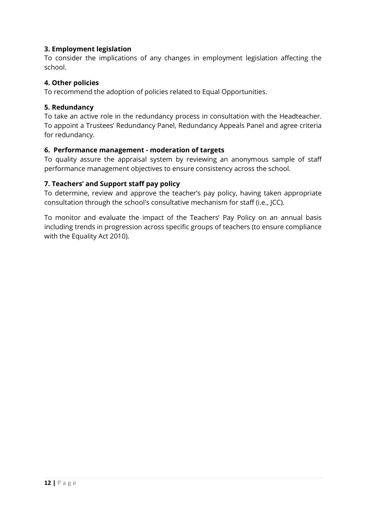#### 3. Employment legislation

To consider the implications of any changes in employment legislation affecting the school.

#### 4. Other policies

To recommend the adoption of policies related to Equal Opportunities.

#### 5. Redundancy

To take an active role in the redundancy process in consultation with the Headteacher. To appoint a Trustees' Redundancy Panel, Redundancy Appeals Panel and agree criteria for redundancy.

#### 6. Performance management - moderation of targets

To quality assure the appraisal system by reviewing an anonymous sample of staff performance management objectives to ensure consistency across the school.

#### 7. Teachers' and Support staff pay policy

To determine, review and approve the teacher's pay policy, having taken appropriate consultation through the school's consultative mechanism for staff (i.e., JCC).

To monitor and evaluate the impact of the Teachers' Pay Policy on an annual basis including trends in progression across specific groups of teachers (to ensure compliance with the Equality Act 2010).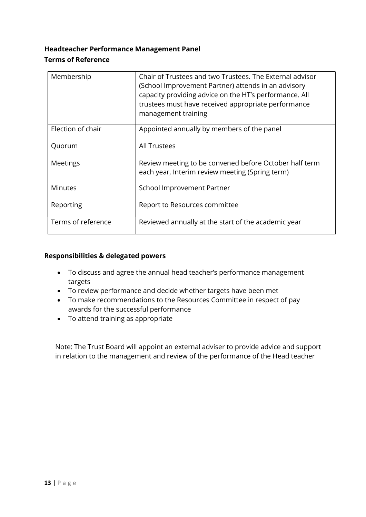# Headteacher Performance Management Panel Terms of Reference

| Membership         | Chair of Trustees and two Trustees. The External advisor<br>(School Improvement Partner) attends in an advisory<br>capacity providing advice on the HT's performance. All<br>trustees must have received appropriate performance<br>management training |
|--------------------|---------------------------------------------------------------------------------------------------------------------------------------------------------------------------------------------------------------------------------------------------------|
| Election of chair  | Appointed annually by members of the panel                                                                                                                                                                                                              |
| Quorum             | <b>All Trustees</b>                                                                                                                                                                                                                                     |
| Meetings           | Review meeting to be convened before October half term<br>each year, Interim review meeting (Spring term)                                                                                                                                               |
| <b>Minutes</b>     | School Improvement Partner                                                                                                                                                                                                                              |
| Reporting          | Report to Resources committee                                                                                                                                                                                                                           |
| Terms of reference | Reviewed annually at the start of the academic year                                                                                                                                                                                                     |

#### Responsibilities & delegated powers

- To discuss and agree the annual head teacher's performance management targets
- To review performance and decide whether targets have been met
- To make recommendations to the Resources Committee in respect of pay awards for the successful performance
- To attend training as appropriate

Note: The Trust Board will appoint an external adviser to provide advice and support in relation to the management and review of the performance of the Head teacher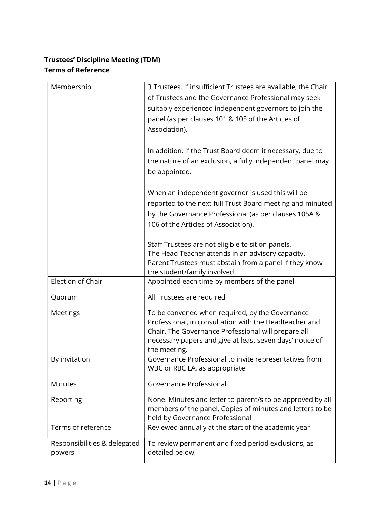# Trustees' Discipline Meeting (TDM) Terms of Reference

| Membership                   | 3 Trustees. If insufficient Trustees are available, the Chair |
|------------------------------|---------------------------------------------------------------|
|                              | of Trustees and the Governance Professional may seek          |
|                              | suitably experienced independent governors to join the        |
|                              | panel (as per clauses 101 & 105 of the Articles of            |
|                              |                                                               |
|                              | Association).                                                 |
|                              |                                                               |
|                              | In addition, if the Trust Board deem it necessary, due to     |
|                              | the nature of an exclusion, a fully independent panel may     |
|                              | be appointed.                                                 |
|                              |                                                               |
|                              | When an independent governor is used this will be             |
|                              | reported to the next full Trust Board meeting and minuted     |
|                              | by the Governance Professional (as per clauses 105A &         |
|                              | 106 of the Articles of Association).                          |
|                              |                                                               |
|                              | Staff Trustees are not eligible to sit on panels.             |
|                              | The Head Teacher attends in an advisory capacity.             |
|                              | Parent Trustees must abstain from a panel if they know        |
|                              | the student/family involved.                                  |
| Election of Chair            | Appointed each time by members of the panel                   |
|                              |                                                               |
| Quorum                       | All Trustees are required                                     |
| Meetings                     | To be convened when required, by the Governance               |
|                              | Professional, in consultation with the Headteacher and        |
|                              | Chair. The Governance Professional will prepare all           |
|                              | necessary papers and give at least seven days' notice of      |
|                              | the meeting.                                                  |
| By invitation                | Governance Professional to invite representatives from        |
|                              | WBC or RBC LA, as appropriate                                 |
| <b>Minutes</b>               | Governance Professional                                       |
|                              |                                                               |
| Reporting                    | None. Minutes and letter to parent/s to be approved by all    |
|                              | members of the panel. Copies of minutes and letters to be     |
|                              | held by Governance Professional                               |
| Terms of reference           | Reviewed annually at the start of the academic year           |
| Responsibilities & delegated | To review permanent and fixed period exclusions, as           |
| powers                       | detailed below.                                               |
|                              |                                                               |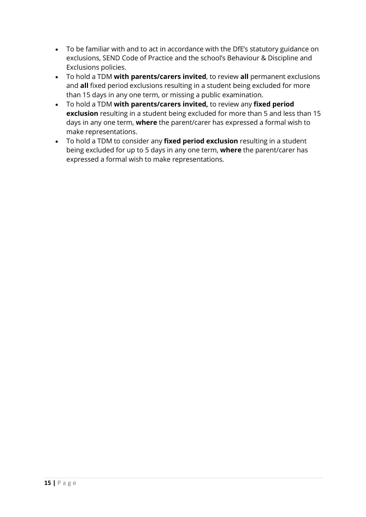- To be familiar with and to act in accordance with the DfE's statutory guidance on exclusions, SEND Code of Practice and the school's Behaviour & Discipline and Exclusions policies.
- To hold a TDM with parents/carers invited, to review all permanent exclusions and all fixed period exclusions resulting in a student being excluded for more than 15 days in any one term, or missing a public examination.
- To hold a TDM with parents/carers invited, to review any fixed period exclusion resulting in a student being excluded for more than 5 and less than 15 days in any one term, where the parent/carer has expressed a formal wish to make representations.
- To hold a TDM to consider any fixed period exclusion resulting in a student being excluded for up to 5 days in any one term, where the parent/carer has expressed a formal wish to make representations.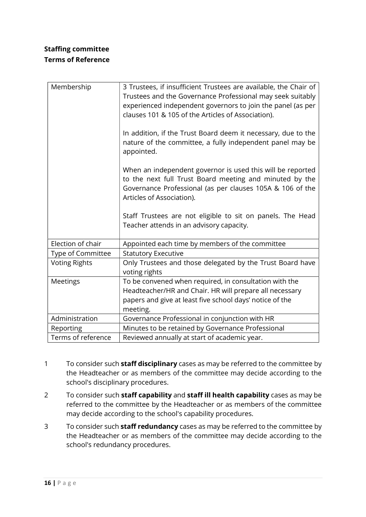# Staffing committee Terms of Reference

| Membership           | 3 Trustees, if insufficient Trustees are available, the Chair of<br>Trustees and the Governance Professional may seek suitably<br>experienced independent governors to join the panel (as per<br>clauses 101 & 105 of the Articles of Association). |
|----------------------|-----------------------------------------------------------------------------------------------------------------------------------------------------------------------------------------------------------------------------------------------------|
|                      | In addition, if the Trust Board deem it necessary, due to the<br>nature of the committee, a fully independent panel may be<br>appointed.                                                                                                            |
|                      | When an independent governor is used this will be reported<br>to the next full Trust Board meeting and minuted by the<br>Governance Professional (as per clauses 105A & 106 of the<br>Articles of Association).                                     |
|                      | Staff Trustees are not eligible to sit on panels. The Head<br>Teacher attends in an advisory capacity.                                                                                                                                              |
| Election of chair    | Appointed each time by members of the committee                                                                                                                                                                                                     |
| Type of Committee    | <b>Statutory Executive</b>                                                                                                                                                                                                                          |
| <b>Voting Rights</b> | Only Trustees and those delegated by the Trust Board have<br>voting rights                                                                                                                                                                          |
| Meetings             | To be convened when required, in consultation with the<br>Headteacher/HR and Chair. HR will prepare all necessary                                                                                                                                   |
|                      | papers and give at least five school days' notice of the<br>meeting.                                                                                                                                                                                |
| Administration       | Governance Professional in conjunction with HR                                                                                                                                                                                                      |
| Reporting            | Minutes to be retained by Governance Professional                                                                                                                                                                                                   |
| Terms of reference   | Reviewed annually at start of academic year.                                                                                                                                                                                                        |

- 1 To consider such staff disciplinary cases as may be referred to the committee by the Headteacher or as members of the committee may decide according to the school's disciplinary procedures.
- 2 To consider such staff capability and staff ill health capability cases as may be referred to the committee by the Headteacher or as members of the committee may decide according to the school's capability procedures.
- 3 To consider such **staff redundancy** cases as may be referred to the committee by the Headteacher or as members of the committee may decide according to the school's redundancy procedures.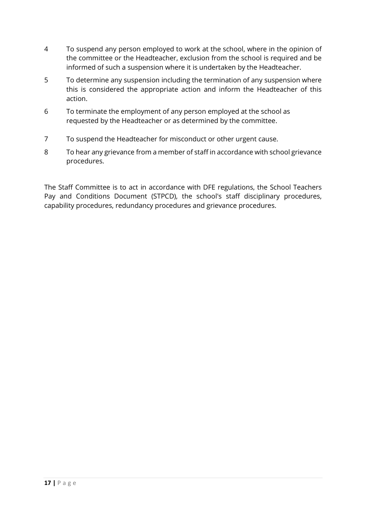- 4 To suspend any person employed to work at the school, where in the opinion of the committee or the Headteacher, exclusion from the school is required and be informed of such a suspension where it is undertaken by the Headteacher.
- 5 To determine any suspension including the termination of any suspension where this is considered the appropriate action and inform the Headteacher of this action.
- 6 To terminate the employment of any person employed at the school as requested by the Headteacher or as determined by the committee.
- 7 To suspend the Headteacher for misconduct or other urgent cause.
- 8 To hear any grievance from a member of staff in accordance with school grievance procedures.

The Staff Committee is to act in accordance with DFE regulations, the School Teachers Pay and Conditions Document (STPCD), the school's staff disciplinary procedures, capability procedures, redundancy procedures and grievance procedures.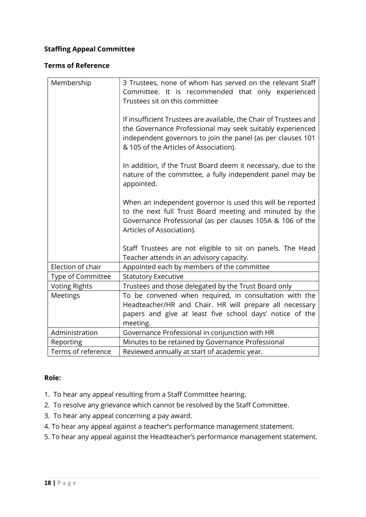#### Staffing Appeal Committee

#### Terms of Reference

| Membership           | 3 Trustees, none of whom has served on the relevant Staff<br>Committee. It is recommended that only experienced<br>Trustees sit on this committee                                                                                       |
|----------------------|-----------------------------------------------------------------------------------------------------------------------------------------------------------------------------------------------------------------------------------------|
|                      | If insufficient Trustees are available, the Chair of Trustees and<br>the Governance Professional may seek suitably experienced<br>independent governors to join the panel (as per clauses 101<br>& 105 of the Articles of Association). |
|                      | In addition, if the Trust Board deem it necessary, due to the<br>nature of the committee, a fully independent panel may be<br>appointed.                                                                                                |
|                      | When an independent governor is used this will be reported<br>to the next full Trust Board meeting and minuted by the<br>Governance Professional (as per clauses 105A & 106 of the<br>Articles of Association).                         |
|                      | Staff Trustees are not eligible to sit on panels. The Head<br>Teacher attends in an advisory capacity.                                                                                                                                  |
| Election of chair    | Appointed each by members of the committee                                                                                                                                                                                              |
| Type of Committee    | <b>Statutory Executive</b>                                                                                                                                                                                                              |
| <b>Voting Rights</b> | Trustees and those delegated by the Trust Board only                                                                                                                                                                                    |
| Meetings             | To be convened when required, in consultation with the                                                                                                                                                                                  |
|                      | Headteacher/HR and Chair. HR will prepare all necessary                                                                                                                                                                                 |
|                      | papers and give at least five school days' notice of the<br>meeting.                                                                                                                                                                    |
| Administration       | Governance Professional in conjunction with HR                                                                                                                                                                                          |
| Reporting            | Minutes to be retained by Governance Professional                                                                                                                                                                                       |
| Terms of reference   | Reviewed annually at start of academic year.                                                                                                                                                                                            |

#### Role:

- 1. To hear any appeal resulting from a Staff Committee hearing.
- 2. To resolve any grievance which cannot be resolved by the Staff Committee.
- 3. To hear any appeal concerning a pay award.
- 4. To hear any appeal against a teacher's performance management statement.
- 5. To hear any appeal against the Headteacher's performance management statement.